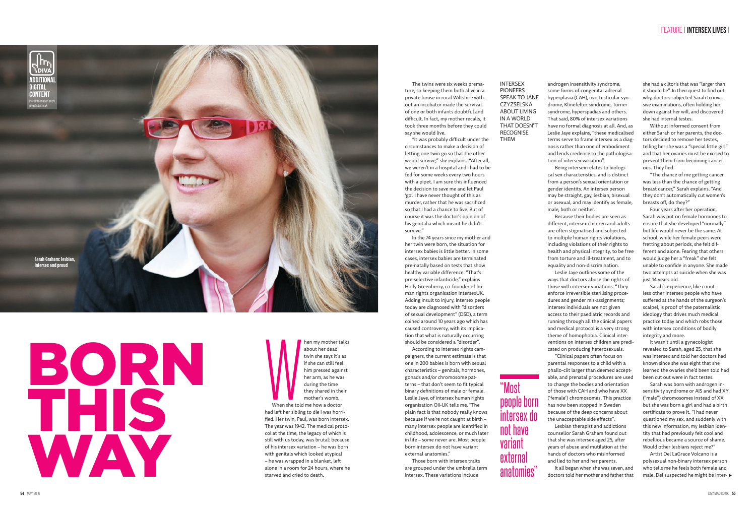The twins were six weeks premature, so keeping them both alive in a private house in rural Wiltshire without an incubator made the survival of one or both infants doubtful and difficult. In fact, my mother recalls, it took three months before they could say she would live.

"It was probably difficult under the circumstances to make a decision of letting one twin go so that the other would survive," she explains. "After all, we weren't in a hospital and I had to be fed for some weeks every two hours with a pipet. I am sure this influenced the decision to save me and let Paul 'go'. I have never thought of this as murder, rather that he was sacrificed so that I had a chance to live. But of course it was the doctor's opinion of his genitalia which meant he didn't survive."

In the 74 years since my mother and her twin were born, the situation for intersex babies is little better. In some cases, intersex babies are terminated pre-natally based on tests that show healthy variable difference. "That's pre-selective infanticide," explains Holly Greenberry, co-founder of human rights organisation IntersexUK. Adding insult to injury, intersex people today are diagnosed with "disorders of sexual development" (DSD), a term coined around 10 years ago which has caused controversy, with its implication that what is naturally occurring should be considered a "disorder".

According to intersex rights campaigners, the current estimate is that one in 200 babies is born with sexual characteristics – genitals, hormones, gonads and/or chromosome patterns – that don't seem to fit typical binary definitions of male or female. Leslie Jaye, of intersex human rights organisation OII-UK tells me, "The plain fact is that nobody really knows because if we're not caught at birth – many intersex people are identified in childhood, adolescence, or much later in life – some never are. Most people born intersex do not have variant external anatomies."

Those born with intersex traits are grouped under the umbrella term intersex. These variations include

androgen insensitivity syndrome, some forms of congenital adrenal hyperplasia (CAH), ovo-testicular syndrome, Klinefelter syndrome, Turner syndrome, hyperspadias and others. That said, 80% of intersex variations have no formal diagnosis at all. And, as Leslie Jaye explains, "these medicalised terms serve to frame intersex as a diagnosis rather than one of embodiment and lends credence to the pathologisation of intersex variation".

Being intersex relates to biological sex characteristics, and is distinct from a person's sexual orientation or gender identity. An intersex person may be straight, gay, lesbian, bisexual or asexual, and may identify as female, male, both or neither.

Because their bodies are seen as Leslie Jaye outlines some of the "Clinical papers often focus on

When she told hen my mother talks about her dead twin she says it's as if she can still feel him pressed against her arm, as he was during the time they shared in their mother's womb.

different, intersex children and adults are often stigmatised and subjected to multiple human rights violations, including violations of their rights to health and physical integrity, to be free from torture and ill-treatment, and to equality and non-discrimination. ways that doctors abuse the rights of those with intersex variations: "They enforce irreversible sterilising procedures and gender mis-assignments; intersex individuals are not given access to their paediatric records and running through all the clinical papers and medical protocol is a very strong theme of homophobia. Clinical interventions on intersex children are predicated on producing heterosexuals. parental responses to a child with a phallo-clit larger than deemed acceptable, and prenatal procedures are used to change the bodies and orientation of those with CAH and who have XX ('female') chromosomes. This practice has now been stopped in Sweden because of the deep concerns about the unacceptable side effects".

Lesbian therapist and addictions counsellor Sarah Graham found out

that she was intersex aged 25, after years of abuse and mutilation at the hands of doctors who misinformed and lied to her and her parents.

It all began when she was seven, and doctors told her mother and father that she had a clitoris that was "larger than it should be". In their quest to find out why, doctors subjected Sarah to invasive examinations, often holding her down against her will, and discovered she had internal testes.

Without informed consent from either Sarah or her parents, the doctors decided to remove her testes, telling her she was a "special little girl" and that her ovaries must be excised to prevent them from becoming cancerous. They lied.

"The chance of me getting cancer was less than the chance of getting breast cancer," Sarah explains. "And they don't automatically cut women's breasts off, do they?"

Four years after her operation, Sarah was put on female hormones to ensure that she developed "normally" but life would never be the same. At school, while her female peers were fretting about periods, she felt different and alone. Fearing that others would judge her a "freak" she felt unable to confide in anyone. She made two attempts at suicide when she was just 14 years old.

Sarah's experience, like countless other intersex people who have suffered at the hands of the surgeon's scalpel, is proof of the paternalistic ideology that drives much medical practice today and which robs those with intersex conditions of bodily integrity and more.

It wasn't until a gynecologist revealed to Sarah, aged 25, that she was intersex and told her doctors had known since she was eight that she learned the ovaries she'd been told had been cut out were in fact testes.

Sarah was born with androgen insensitivity syndrome or AIS and had XY ("male") chromosomes instead of XX but she was born a girl and had a birth certificate to prove it. "I had never questioned my sex, and suddenly with this new information, my lesbian identity that had previously felt cool and rebellious became a source of shame. Would other lesbians reject me?"

Artist Del LaGrace Volcano is a polysexual non-binary intersex person who tells me he feels both female and male. Del suspected he might be inter-

"Most

people born

intersex do

not have

variant

external

anatomies"



When she told me how a doctor had left her sibling to die I was horrified. Her twin, Paul, was born intersex. The year was 1942. The medical protocol at the time, the legacy of which is still with us today, was brutal: because of his intersex variation – he was born with genitals which looked atypical – he was wrapped in a blanket, left alone in a room for 24 hours, where he starved and cried to death.

INTERSEX PIONEERS SPEAK TO JANE CZYZSELSKA ABOUT LIVING IN A WORLD THAT DOESN'T RECOGNISE THEM

## BORN THIS WAY

## | FEATURE | **INTERSEX LIVES** |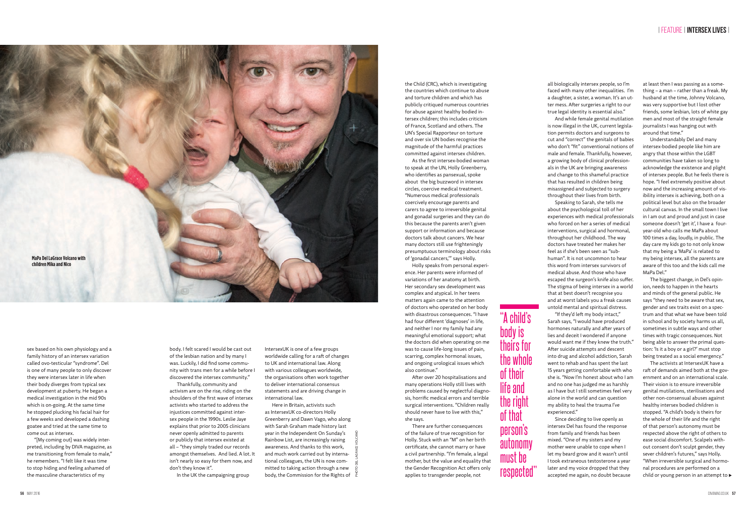the Child (CRC), which is investigating the countries which continue to abuse and torture children and which has publicly critiqued numerous countries for abuse against healthy bodied intersex children; this includes criticism of France, Scotland and others. The UN's Special Rapporteur on torture and over six UN bodies recognise the magnitude of the harmful practices committed against intersex children.

As the first intersex-bodied woman to speak at the UN, Holly Greenberry, who identifies as pansexual, spoke about the big buzzword in intersex circles, coercive medical treatment. "Numerous medical professionals coercively encourage parents and carers to agree to irreversible genital and gonadal surgeries and they can do this because the parents aren't given support or information and because doctors talk about cancers. We hear many doctors still use frighteningly presumptuous terminology about risks of 'gonadal cancers,'" says Holly.

Holly speaks from personal experience. Her parents were informed of variations of her anatomy at birth. Her secondary sex development was complex and atypical. In her teens matters again came to the attention of doctors who operated on her body with disastrous consequences. "I have had four different 'diagnoses' in life, and neither I nor my family had any meaningful emotional support; what the doctors did when operating on me was to cause life-long issues of pain, scarring, complex hormonal issues, and ongoing urological issues which also continue."

After over 20 hospitalisations and many operations Holly still lives with problems caused by neglectful diagnosis, horrific medical errors and terrible surgical interventions. "Children really should never have to live with this," she says.

There are further consequences of the failure of true recognition for Holly. Stuck with an "M" on her birth certificate, she cannot marry or have a civil partnership. "I'm female, a legal mother, but the value and equality that the Gender Recognition Act offers only applies to transgender people, not

sex based on his own physiology and a family history of an intersex variation called ovo-testicular "syndrome". Del is one of many people to only discover they were intersex later in life when their body diverges from typical sex development at puberty. He began a medical investigation in the mid 90s which is on-going. At the same time he stopped plucking his facial hair for a few weeks and developed a dashing goatee and tried at the same time to come out as intersex.

"[My coming out] was widely interpreted, including by DIVA magazine, as me transitioning from female to male," he remembers. "I felt like it was time to stop hiding and feeling ashamed of the masculine characteristics of my

The activists at IntersexUK have a raft of demands aimed both at the government and on an international scale. Their vision is to ensure irreversible genital mutilations, sterilisations and other non-consensual abuses against healthy intersex bodied children is stopped. "A child's body is theirs for the whole of their life and the right of that person's autonomy must be respected above the right of others to ease social discomfort. Scalpels without consent don't sculpt gender, they sever children's futures," says Holly. "When irreversible surgical and hormonal procedures are performed on a child or young person in an attempt to  $\blacktriangleright$ 

all biologically intersex people, so I'm faced with many other inequalities. I'm a daughter, a sister, a woman. It's an utter mess. After surgeries a right to our true legal identity is essential also." And while female genital mutilation is now illegal in the UK, current legislation permits doctors and surgeons to cut and "correct" the genitals of babies who don't "fit" conventional notions of male and female. Thankfully, however, a growing body of clinical professionals in the UK are bringing awareness and change to this shameful practice that has resulted in children being misassigned and subjected to surgery throughout their lives from birth. Speaking to Sarah, she tells me about the psychological toll of her experiences with medical professionals who forced on her a series of medical interventions, surgical and hormonal, throughout her childhood. The way doctors have treated her makes her feel as if she's been seen as "subhuman". It is not uncommon to hear this word from intersex survivors of medical abuse. And those who have escaped the surgeon's knife also suffer. The stigma of being intersex in a world that at best doesn't recognise you and at worst labels you a freak causes untold mental and spiritual distress. "If they'd left my body intact," Sarah says, "I would have produced hormones naturally and after years of lies and deceit I wondered if anyone would want me if they knew the truth." After suicide attempts and descent into drug and alcohol addiction, Sarah went to rehab and has spent the last 15 years getting comfortable with who she is. "Now I'm honest about who I am and no one has judged me as harshly as I have but I still sometimes feel very alone in the world and can question my ability to heal the trauma I've

experienced."

Since deciding to live openly as intersex Del has found the response from family and friends has been mixed. "One of my sisters and my mother were unable to cope when I let my beard grow and it wasn't until I took extraneous testosterone a year later and my voice dropped that they accepted me again, no doubt because

body. I felt scared I would be cast out of the lesbian nation and by many I was. Luckily, I did find some community with trans men for a while before I discovered the intersex community."

Thankfully, community and activism are on the rise, riding on the shoulders of the first wave of intersex activists who started to address the injustices committed against intersex people in the 1990s. Leslie Jaye explains that prior to 2005 clinicians never openly admitted to parents or publicly that intersex existed at all – "they simply traded our records amongst themselves. And lied. A lot. It isn't nearly so easy for them now, and don't they know it".

In the UK the campaigning group

at least then I was passing as a something – a man – rather than a freak. My husband at the time, Johnny Volcano, was very supportive but I lost other friends, some lesbian, lots of white gay men and most of the straight female journalists I was hanging out with around that time."

Understandably Del and many intersex-bodied people like him are angry that those within the LGBT communities have taken so long to acknowledge the existence and plight of intersex people. But he feels there is hope. "I feel extremely positive about now and the increasing amount of visibility intersex is achieving, both on a political level but also on the broader cultural canvas. In the small town I live in I am out and proud and just in case someone doesn't 'get it', I have a fouryear-old who calls me MaPa about 100 times a day, loudly, in public. The day care my kids go to not only know that my being a 'MaPa' is related to my being intersex, all the parents are aware of this too and the kids call me MaPa Del."

The biggest change, in Del's opinion, needs to happen in the hearts and minds of the general public. He says "they need to be aware that sex, gender and sex traits exist on a spectrum and that what we have been told in school and by society harms us all, sometimes in subtle ways and other times with tragic consequences. Not being able to answer the primal question: 'Is it a boy or a girl?' must stop being treated as a social emergency."

IntersexUK is one of a few groups worldwide calling for a raft of changes to UK and international law. Along with various colleagues worldwide, the organisations often work together to deliver international consensus statements and are driving change in international law.

Here in Britain, activists such as IntersexUK co-directors Holly Greenberry and Dawn Vago, who along with Sarah Graham made history last year in the Independent On Sunday's Rainbow List, are increasingly raising awareness. And thanks to this work, and much work carried out by international colleagues, the UN is now committed to taking action through a new body, the Commission for the Rights of PHOTO DEL LAGRACE VOLCANO "A child's

body is

theirs for

the whole

of their

life and

the right

of that

person's

autonomy

must be

respected"